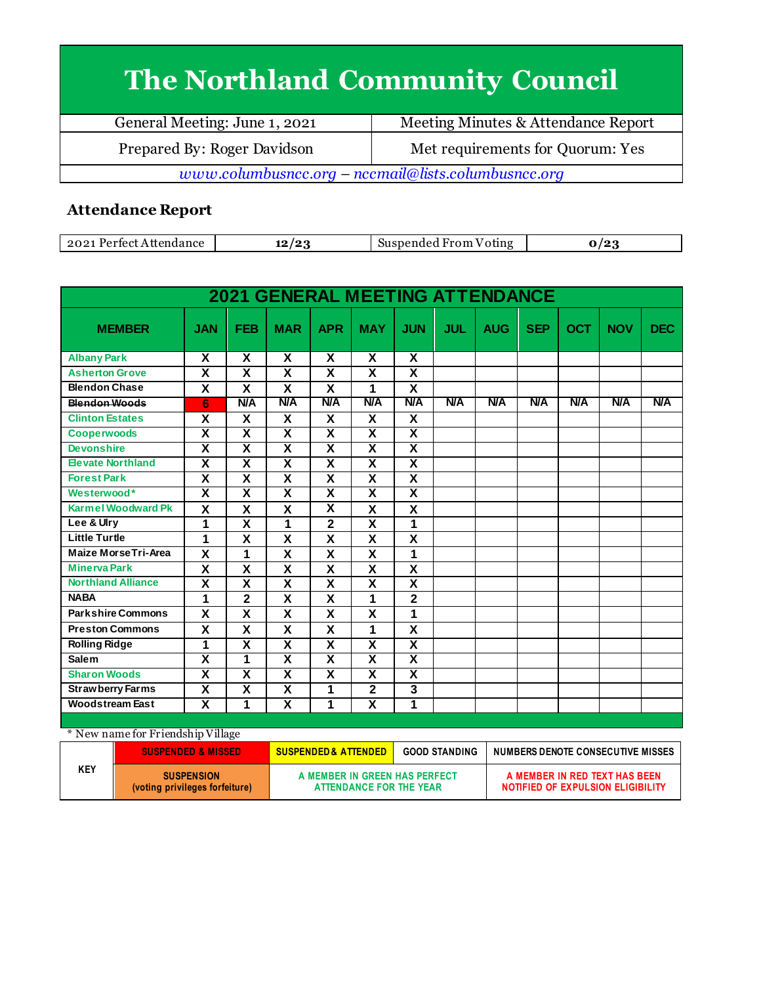## **The Northland Community Council**

| General Meeting: June 1, 2021                         | Meeting Minutes & Attendance Report |  |  |
|-------------------------------------------------------|-------------------------------------|--|--|
| Prepared By: Roger Davidson                           | Met requirements for Quorum: Yes    |  |  |
| $www.columbusncc.org - nccmail@lists.columbusncc.org$ |                                     |  |  |

## **Attendance Report**

| 2021<br>Pertect<br>Attendance | ، ہ ا<br>-- | Suspended From<br>oting<br>v |  |
|-------------------------------|-------------|------------------------------|--|

|                            |                           |                         | <b>2021 GENERAL MEETING ATTENDANCE</b> |                         |                         |                         |            |            |            |            |            |            |
|----------------------------|---------------------------|-------------------------|----------------------------------------|-------------------------|-------------------------|-------------------------|------------|------------|------------|------------|------------|------------|
| <b>MEMBER</b>              | <b>JAN</b>                | <b>FEB</b>              | <b>MAR</b>                             | <b>APR</b>              | <b>MAY</b>              | <b>JUN</b>              | <b>JUL</b> | <b>AUG</b> | <b>SEP</b> | <b>OCT</b> | <b>NOV</b> | <b>DEC</b> |
| <b>Albany Park</b>         | X                         | X                       | X                                      | X                       | X                       | X                       |            |            |            |            |            |            |
| <b>Asherton Grove</b>      | $\overline{\mathbf{x}}$   | $\overline{\mathsf{x}}$ | $\overline{\mathsf{x}}$                | $\overline{\mathsf{x}}$ | $\overline{\mathbf{X}}$ | $\overline{\mathbf{x}}$ |            |            |            |            |            |            |
| <b>Blendon Chase</b>       | X                         | X                       | X                                      | X                       | 1                       | X                       |            |            |            |            |            |            |
| <b>Blendon Woods</b>       | 6                         | <b>N/A</b>              | <b>N/A</b>                             | <b>N/A</b>              | <b>N/A</b>              | <b>N/A</b>              | <b>N/A</b> | <b>N/A</b> | <b>N/A</b> | N/A        | <b>N/A</b> | <b>N/A</b> |
| <b>Clinton Estates</b>     | X                         | X                       | X                                      | X                       | X                       | X                       |            |            |            |            |            |            |
| <b>Cooperwoods</b>         | $\overline{\mathsf{x}}$   | $\overline{\mathsf{x}}$ | $\overline{\mathsf{x}}$                | $\overline{\mathbf{x}}$ | $\overline{\mathbf{X}}$ | $\overline{\mathbf{x}}$ |            |            |            |            |            |            |
| <b>Devonshire</b>          | X                         | $\overline{\mathsf{x}}$ | $\overline{\mathbf{x}}$                | $\overline{\mathbf{x}}$ | $\overline{\mathbf{x}}$ | $\overline{\mathbf{x}}$ |            |            |            |            |            |            |
| <b>Elevate Northland</b>   | $\overline{\mathsf{x}}$   | $\overline{\mathbf{x}}$ | $\overline{\mathsf{x}}$                | $\overline{\mathbf{X}}$ | $\overline{\mathbf{X}}$ | $\overline{\mathbf{x}}$ |            |            |            |            |            |            |
| <b>Forest Park</b>         | $\overline{\mathsf{x}}$   | $\overline{\mathsf{x}}$ | $\overline{\mathsf{x}}$                | $\overline{\mathsf{x}}$ | $\overline{\mathbf{x}}$ | $\overline{\mathbf{x}}$ |            |            |            |            |            |            |
| Westerwood*                | $\overline{\mathbf{x}}$   | $\overline{\mathsf{x}}$ | $\overline{\mathsf{x}}$                | $\overline{\mathbf{x}}$ | $\overline{\mathbf{X}}$ | $\overline{\mathbf{X}}$ |            |            |            |            |            |            |
| <b>Karmel Woodward Pk</b>  | $\overline{\mathbf{X}}$   | $\overline{\mathsf{x}}$ | $\overline{\mathbf{x}}$                | $\overline{\mathbf{x}}$ | $\overline{\mathsf{x}}$ | $\overline{\mathsf{x}}$ |            |            |            |            |            |            |
| Lee & Ulry                 | 1                         | X                       | 1                                      | $\overline{2}$          | X                       | 1                       |            |            |            |            |            |            |
| <b>Little Turtle</b>       | 1                         | X                       | X                                      | X                       | X                       | X                       |            |            |            |            |            |            |
| <b>Maize MorseTri-Area</b> | X                         | 1                       | X                                      | X                       | X                       | 1                       |            |            |            |            |            |            |
| <b>Minerva Park</b>        | $\boldsymbol{\mathsf{X}}$ | X                       | X                                      | $\pmb{\mathsf{X}}$      | $\pmb{\mathsf{X}}$      | X                       |            |            |            |            |            |            |
| <b>Northland Alliance</b>  | $\overline{\mathsf{x}}$   | $\overline{\mathbf{x}}$ | $\overline{\mathsf{x}}$                | $\overline{\mathbf{x}}$ | $\overline{\mathbf{x}}$ | $\overline{\mathbf{x}}$ |            |            |            |            |            |            |
| <b>NABA</b>                | 1                         | $\overline{2}$          | $\overline{\mathbf{x}}$                | $\overline{\mathbf{X}}$ | 1                       | $\overline{\mathbf{2}}$ |            |            |            |            |            |            |
| <b>Parkshire Commons</b>   | $\overline{\mathbf{x}}$   | $\overline{\mathsf{x}}$ | $\overline{\mathbf{x}}$                | $\overline{\mathbf{x}}$ | $\overline{\mathbf{x}}$ | 1                       |            |            |            |            |            |            |
| <b>Preston Commons</b>     | X                         | X                       | X                                      | X                       | 1                       | X                       |            |            |            |            |            |            |
| <b>Rolling Ridge</b>       | $\overline{\mathbf{1}}$   | $\overline{\mathbf{x}}$ | $\overline{\mathsf{x}}$                | $\overline{\mathbf{x}}$ | $\overline{\mathbf{X}}$ | $\overline{\mathbf{x}}$ |            |            |            |            |            |            |
| <b>Salem</b>               | $\overline{\mathsf{x}}$   | 1                       | $\overline{\mathbf{x}}$                | $\overline{\mathbf{x}}$ | $\overline{\mathbf{x}}$ | $\overline{\mathbf{x}}$ |            |            |            |            |            |            |
| <b>Sharon Woods</b>        | $\overline{\mathbf{x}}$   | $\overline{\mathbf{x}}$ | $\overline{\mathsf{x}}$                | $\overline{\mathbf{x}}$ | $\overline{\mathbf{x}}$ | $\overline{\mathbf{x}}$ |            |            |            |            |            |            |
| <b>Strawberry Farms</b>    | $\overline{\mathbf{x}}$   | $\overline{\mathsf{x}}$ | $\overline{\mathsf{x}}$                | 1                       | $\overline{2}$          | 3                       |            |            |            |            |            |            |
| <b>Woodstream East</b>     | X                         | 1                       | $\overline{\mathsf{x}}$                | 1                       | $\overline{\mathbf{x}}$ | 1                       |            |            |            |            |            |            |

| * New name for Friendship Village |                                                     |                                                          |                      |                                                                    |  |
|-----------------------------------|-----------------------------------------------------|----------------------------------------------------------|----------------------|--------------------------------------------------------------------|--|
|                                   | <b>SUSPENDED &amp; MISSED</b>                       | <b>SUSPENDED&amp; ATTENDED</b>                           | <b>GOOD STANDING</b> | NUMBERS DENOTE CONSECUTIVE MISSES                                  |  |
| <b>KEY</b>                        | <b>SUSPENSION</b><br>(voting privileges forfeiture) | A MEMBER IN GREEN HAS PERFECT<br>ATTENDANCE FOR THE YEAR |                      | A MEMBER IN RED TEXT HAS BEEN<br>NOTIFIED OF EXPULSION ELIGIBILITY |  |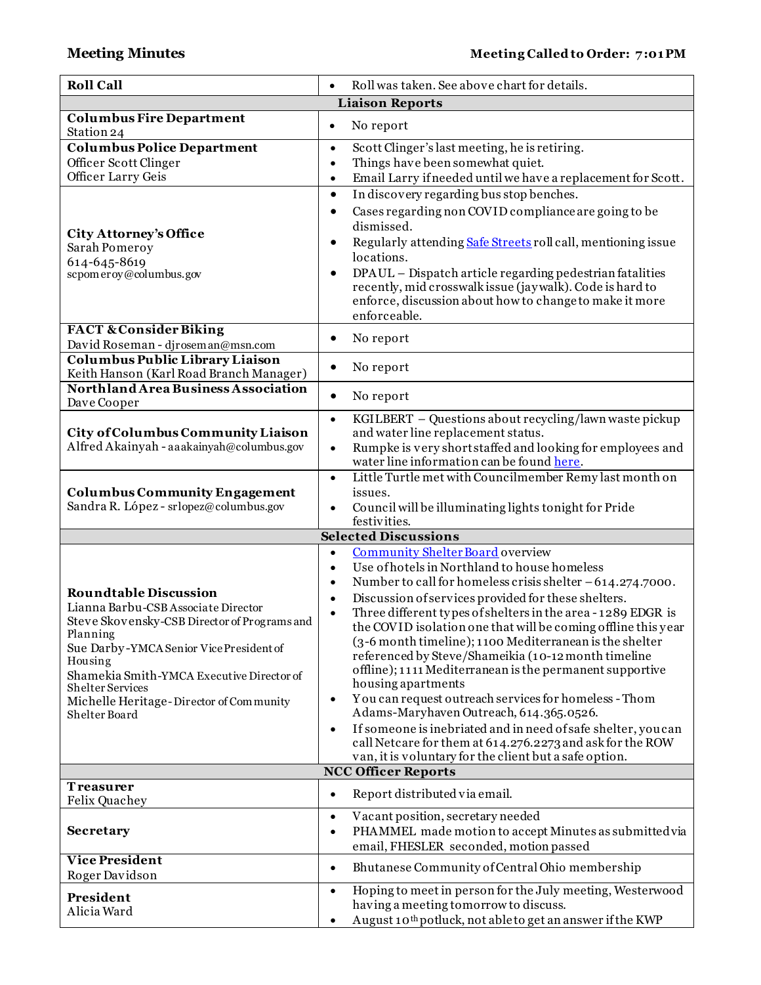| <b>Roll Call</b>                                                                                                                                                                                                                                                                                                          | Roll was taken. See above chart for details.                                                                                                                                                                                                                                                                                                                                                                                                                                                                                                                                                                                                                                                                                                                                                                                                                                                                                                                             |
|---------------------------------------------------------------------------------------------------------------------------------------------------------------------------------------------------------------------------------------------------------------------------------------------------------------------------|--------------------------------------------------------------------------------------------------------------------------------------------------------------------------------------------------------------------------------------------------------------------------------------------------------------------------------------------------------------------------------------------------------------------------------------------------------------------------------------------------------------------------------------------------------------------------------------------------------------------------------------------------------------------------------------------------------------------------------------------------------------------------------------------------------------------------------------------------------------------------------------------------------------------------------------------------------------------------|
|                                                                                                                                                                                                                                                                                                                           | <b>Liaison Reports</b>                                                                                                                                                                                                                                                                                                                                                                                                                                                                                                                                                                                                                                                                                                                                                                                                                                                                                                                                                   |
| <b>Columbus Fire Department</b><br>Station 24                                                                                                                                                                                                                                                                             | No report<br>$\bullet$                                                                                                                                                                                                                                                                                                                                                                                                                                                                                                                                                                                                                                                                                                                                                                                                                                                                                                                                                   |
| <b>Columbus Police Department</b><br>Officer Scott Clinger<br>Officer Larry Geis                                                                                                                                                                                                                                          | Scott Clinger's last meeting, he is retiring.<br>$\bullet$<br>Things have been somewhat quiet.<br>$\bullet$<br>Email Larry if needed until we have a replacement for Scott.<br>$\bullet$<br>In discovery regarding bus stop benches.<br>$\bullet$<br>Cases regarding non COVID compliance are going to be<br>٠                                                                                                                                                                                                                                                                                                                                                                                                                                                                                                                                                                                                                                                           |
| <b>City Attorney's Office</b><br>Sarah Pomeroy<br>614-645-8619<br>scpomeroy@columbus.gov                                                                                                                                                                                                                                  | dismissed.<br>Regularly attending Safe Streets roll call, mentioning issue<br>٠<br>locations.<br>DPAUL - Dispatch article regarding pedestrian fatalities<br>$\bullet$<br>recently, mid crosswalk issue (jaywalk). Code is hard to<br>enforce, discussion about how to change to make it more<br>enforceable.                                                                                                                                                                                                                                                                                                                                                                                                                                                                                                                                                                                                                                                            |
| <b>FACT &amp; Consider Biking</b><br>David Roseman - djroseman@msn.com                                                                                                                                                                                                                                                    | No report<br>٠                                                                                                                                                                                                                                                                                                                                                                                                                                                                                                                                                                                                                                                                                                                                                                                                                                                                                                                                                           |
| Columbus Public Library Liaison<br>Keith Hanson (Karl Road Branch Manager)                                                                                                                                                                                                                                                | No report<br>٠                                                                                                                                                                                                                                                                                                                                                                                                                                                                                                                                                                                                                                                                                                                                                                                                                                                                                                                                                           |
| Northland Area Business Association<br>Dave Cooper                                                                                                                                                                                                                                                                        | No report<br>$\bullet$                                                                                                                                                                                                                                                                                                                                                                                                                                                                                                                                                                                                                                                                                                                                                                                                                                                                                                                                                   |
| City of Columbus Community Liaison<br>Alfred Akainyah - aaakainyah@columbus.gov                                                                                                                                                                                                                                           | KGILBERT - Questions about recycling/lawn waste pickup<br>$\bullet$<br>and water line replacement status.<br>Rumpke is very short staffed and looking for employees and<br>$\bullet$<br>water line information can be found here.                                                                                                                                                                                                                                                                                                                                                                                                                                                                                                                                                                                                                                                                                                                                        |
| <b>Columbus Community Engagement</b><br>Sandra R. López - srlopez@columbus.gov                                                                                                                                                                                                                                            | Little Turtle met with Councilmember Remy last month on<br>$\bullet$<br>issues.<br>Council will be illuminating lights to night for Pride<br>$\bullet$<br>festivities.                                                                                                                                                                                                                                                                                                                                                                                                                                                                                                                                                                                                                                                                                                                                                                                                   |
|                                                                                                                                                                                                                                                                                                                           | <b>Selected Discussions</b>                                                                                                                                                                                                                                                                                                                                                                                                                                                                                                                                                                                                                                                                                                                                                                                                                                                                                                                                              |
| <b>Roundtable Discussion</b><br>Lianna Barbu-CSB Associate Director<br>Steve Skovensky-CSB Director of Programs and<br>Planning<br>Sue Darby-YMCA Senior Vice President of<br>Housing<br>Shamekia Smith-YMCA Executive Director of<br><b>Shelter Services</b><br>Michelle Heritage-Director of Community<br>Shelter Board | <b>Community Shelter Board overview</b><br>$\bullet$<br>Use of hotels in Northland to house homeless<br>$\bullet$<br>Number to call for homeless crisis shelter $-614.274.7000$ .<br>$\bullet$<br>Discussion of services provided for these shelters.<br>$\bullet$<br>Three different types of shelters in the area - 1289 EDGR is<br>$\bullet$<br>the COVID isolation one that will be coming offline this year<br>(3-6 month timeline); 1100 Mediterranean is the shelter<br>referenced by Steve/Shameikia (10-12 month timeline<br>offline); 1111 Mediterranean is the permanent supportive<br>housing apartments<br>You can request outreach services for homeless - Thom<br>$\bullet$<br>Adams-Maryhaven Outreach, 614.365.0526.<br>If someone is inebriated and in need of safe shelter, you can<br>$\bullet$<br>call Netcare for them at 614.276.2273 and ask for the ROW<br>van, it is voluntary for the client but a safe option.<br><b>NCC Officer Reports</b> |
| <b>Treasurer</b>                                                                                                                                                                                                                                                                                                          |                                                                                                                                                                                                                                                                                                                                                                                                                                                                                                                                                                                                                                                                                                                                                                                                                                                                                                                                                                          |
| Felix Quachey<br><b>Secretary</b>                                                                                                                                                                                                                                                                                         | Report distributed via email.<br>$\bullet$<br>Vacant position, secretary needed<br>$\bullet$<br>PHAMMEL made motion to accept Minutes as submitted via<br>email, FHESLER seconded, motion passed                                                                                                                                                                                                                                                                                                                                                                                                                                                                                                                                                                                                                                                                                                                                                                         |
| <b>Vice President</b><br>Roger Davidson                                                                                                                                                                                                                                                                                   | Bhutanese Community of Central Ohio membership<br>$\bullet$                                                                                                                                                                                                                                                                                                                                                                                                                                                                                                                                                                                                                                                                                                                                                                                                                                                                                                              |
| President<br>Alicia Ward                                                                                                                                                                                                                                                                                                  | Hoping to meet in person for the July meeting, Westerwood<br>$\bullet$<br>having a meeting tomorrow to discuss.<br>August 10 <sup>th</sup> potluck, not able to get an answer if the KWP                                                                                                                                                                                                                                                                                                                                                                                                                                                                                                                                                                                                                                                                                                                                                                                 |